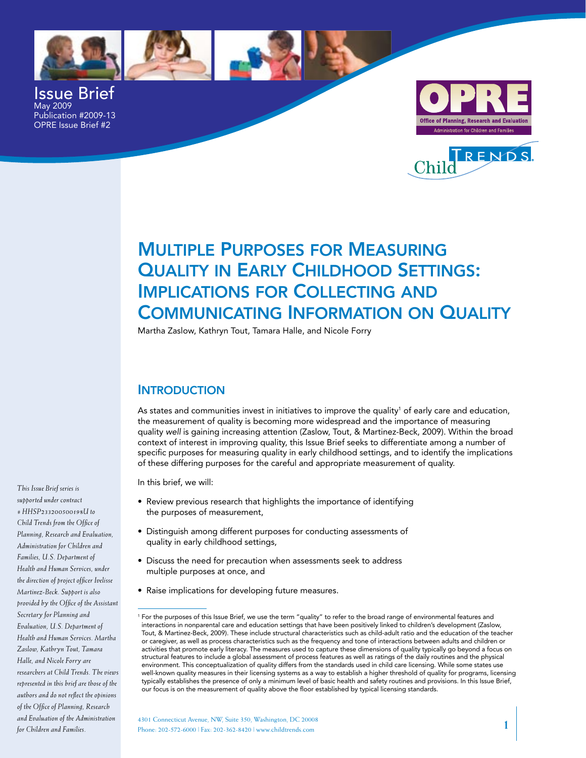



Issue Brief May 2009 Publication #2009-13 OPRE Issue Brief #2





# Multiple Purposes for Measuring **QUALITY IN EARLY CHILDHOOD SETTINGS:** Implications for Collecting and Communicating Information on Quality

Martha Zaslow, Kathryn Tout, Tamara Halle, and Nicole Forry

## **INTRODUCTION**

As states and communities invest in initiatives to improve the quality<sup>1</sup> of early care and education, the measurement of quality is becoming more widespread and the importance of measuring quality *well* is gaining increasing attention (Zaslow, Tout, & Martinez-Beck, 2009). Within the broad context of interest in improving quality, this Issue Brief seeks to differentiate among a number of specific purposes for measuring quality in early childhood settings, and to identify the implications of these differing purposes for the careful and appropriate measurement of quality.

In this brief, we will:

- Review previous research that highlights the importance of identifying the purposes of measurement,
- Distinguish among different purposes for conducting assessments of quality in early childhood settings,
- Discuss the need for precaution when assessments seek to address multiple purposes at once, and
- Raise implications for developing future measures. •

*supported under contract # HHSP233200500198U to Child Trends from the Office of Planning, Research and Evaluation, Administration for Children and Families, U.S. Department of Health and Human Services, under the direction of project officer Ivelisse Martinez-Beck. Support is also provided by the Office of the Assistant Secretary for Planning and Evaluation, U.S. Department of Health and Human Services. Martha Zaslow, Kathryn Tout, Tamara Halle, and Nicole Forry are researchers at Child Trends. The views represented in this brief are those of the authors and do not reflect the opinions of the Office of Planning, Research and Evaluation of the Administration for Children and Families.*

*This Issue Brief series is* 

<sup>1</sup> For the purposes of this Issue Brief, we use the term "quality" to refer to the broad range of environmental features and interactions in nonparental care and education settings that have been positively linked to children's development (Zaslow, Tout, & Martinez-Beck, 2009). These include structural characteristics such as child-adult ratio and the education of the teacher or caregiver, as well as process characteristics such as the frequency and tone of interactions between adults and children or activities that promote early literacy. The measures used to capture these dimensions of quality typically go beyond a focus on structural features to include a global assessment of process features as well as ratings of the daily routines and the physical environment. This conceptualization of quality differs from the standards used in child care licensing. While some states use well-known quality measures in their licensing systems as a way to establish a higher threshold of quality for programs, licensing typically establishes the presence of only a minimum level of basic health and safety routines and provisions. In this Issue Brief, our focus is on the measurement of quality above the floor established by typical licensing standards.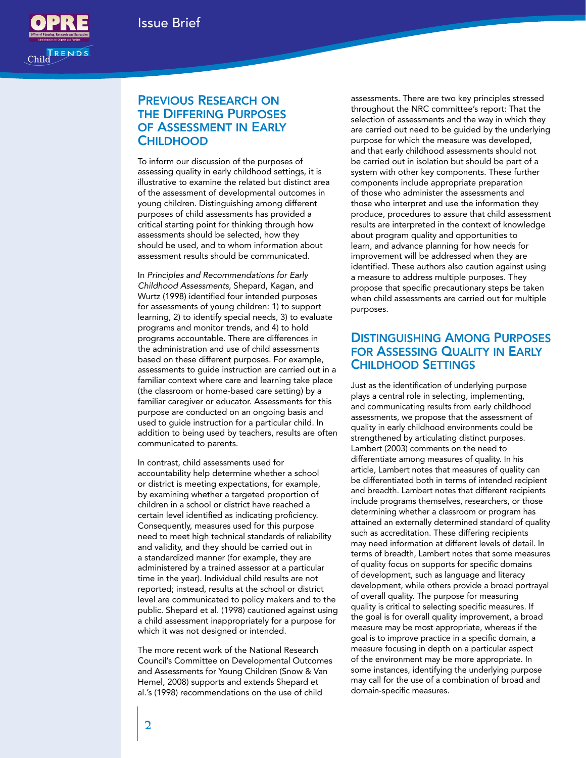

## Previous Research on the Differing Purposes of Assessment in Early **CHILDHOOD**

To inform our discussion of the purposes of assessing quality in early childhood settings, it is illustrative to examine the related but distinct area of the assessment of developmental outcomes in young children. Distinguishing among different purposes of child assessments has provided a critical starting point for thinking through how assessments should be selected, how they should be used, and to whom information about assessment results should be communicated.

In *Principles and Recommendations for Early Childhood Assessments*, Shepard, Kagan, and Wurtz (1998) identified four intended purposes for assessments of young children: 1) to support learning, 2) to identify special needs, 3) to evaluate programs and monitor trends, and 4) to hold programs accountable. There are differences in the administration and use of child assessments based on these different purposes. For example, assessments to guide instruction are carried out in a familiar context where care and learning take place (the classroom or home-based care setting) by a familiar caregiver or educator. Assessments for this purpose are conducted on an ongoing basis and used to guide instruction for a particular child. In addition to being used by teachers, results are often communicated to parents.

In contrast, child assessments used for accountability help determine whether a school or district is meeting expectations, for example, by examining whether a targeted proportion of children in a school or district have reached a certain level identified as indicating proficiency. Consequently, measures used for this purpose need to meet high technical standards of reliability and validity, and they should be carried out in a standardized manner (for example, they are administered by a trained assessor at a particular time in the year). Individual child results are not reported; instead, results at the school or district level are communicated to policy makers and to the public. Shepard et al. (1998) cautioned against using a child assessment inappropriately for a purpose for which it was not designed or intended.

The more recent work of the National Research Council's Committee on Developmental Outcomes and Assessments for Young Children (Snow & Van Hemel, 2008) supports and extends Shepard et al.'s (1998) recommendations on the use of child

assessments. There are two key principles stressed throughout the NRC committee's report: That the selection of assessments and the way in which they are carried out need to be guided by the underlying purpose for which the measure was developed, and that early childhood assessments should not be carried out in isolation but should be part of a system with other key components. These further components include appropriate preparation of those who administer the assessments and those who interpret and use the information they produce, procedures to assure that child assessment results are interpreted in the context of knowledge about program quality and opportunities to learn, and advance planning for how needs for improvement will be addressed when they are identified. These authors also caution against using a measure to address multiple purposes. They propose that specific precautionary steps be taken when child assessments are carried out for multiple purposes.

## Distinguishing Among Purposes for Assessing Quality in Early Childhood Settings

Just as the identification of underlying purpose plays a central role in selecting, implementing, and communicating results from early childhood assessments, we propose that the assessment of quality in early childhood environments could be strengthened by articulating distinct purposes. Lambert (2003) comments on the need to differentiate among measures of quality. In his article, Lambert notes that measures of quality can be differentiated both in terms of intended recipient and breadth. Lambert notes that different recipients include programs themselves, researchers, or those determining whether a classroom or program has attained an externally determined standard of quality such as accreditation. These differing recipients may need information at different levels of detail. In terms of breadth, Lambert notes that some measures of quality focus on supports for specific domains of development, such as language and literacy development, while others provide a broad portrayal of overall quality. The purpose for measuring quality is critical to selecting specific measures. If the goal is for overall quality improvement, a broad measure may be most appropriate, whereas if the goal is to improve practice in a specific domain, a measure focusing in depth on a particular aspect of the environment may be more appropriate. In some instances, identifying the underlying purpose may call for the use of a combination of broad and domain-specific measures.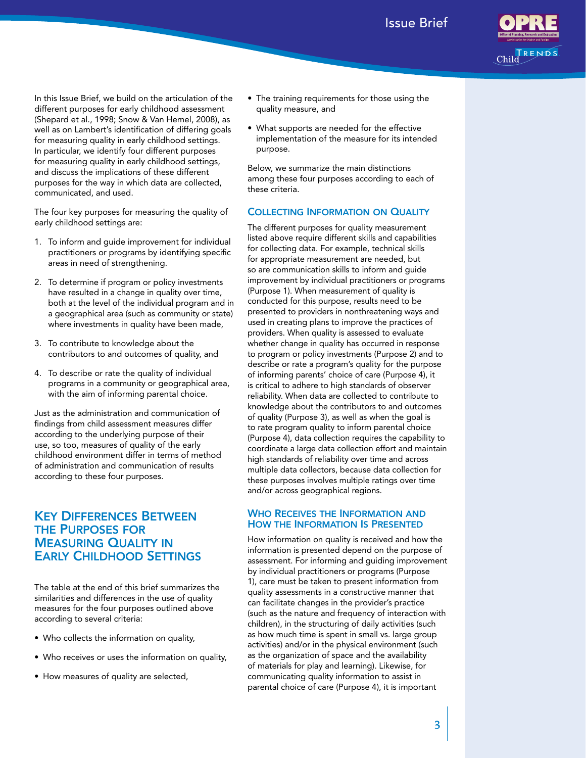

In this Issue Brief, we build on the articulation of the different purposes for early childhood assessment (Shepard et al., 1998; Snow & Van Hemel, 2008), as well as on Lambert's identification of differing goals for measuring quality in early childhood settings. In particular, we identify four different purposes for measuring quality in early childhood settings, and discuss the implications of these different purposes for the way in which data are collected, communicated, and used.

The four key purposes for measuring the quality of early childhood settings are:

- 1. To inform and guide improvement for individual practitioners or programs by identifying specific areas in need of strengthening.
- 2. To determine if program or policy investments have resulted in a change in quality over time, both at the level of the individual program and in a geographical area (such as community or state) where investments in quality have been made,
- 3. To contribute to knowledge about the contributors to and outcomes of quality, and
- 4. To describe or rate the quality of individual programs in a community or geographical area, with the aim of informing parental choice.

Just as the administration and communication of findings from child assessment measures differ according to the underlying purpose of their use, so too, measures of quality of the early childhood environment differ in terms of method of administration and communication of results according to these four purposes.

## Key Differences Between the Purposes for **MEASURING QUALITY IN** Early Childhood Settings

The table at the end of this brief summarizes the similarities and differences in the use of quality measures for the four purposes outlined above according to several criteria:

- Who collects the information on quality, •
- Who receives or uses the information on quality, •
- How measures of quality are selected,
- The training requirements for those using the quality measure, and
- What supports are needed for the effective •implementation of the measure for its intended purpose.

Below, we summarize the main distinctions among these four purposes according to each of these criteria.

#### Collecting Information on Quality

The different purposes for quality measurement listed above require different skills and capabilities for collecting data. For example, technical skills for appropriate measurement are needed, but so are communication skills to inform and guide improvement by individual practitioners or programs (Purpose 1). When measurement of quality is conducted for this purpose, results need to be presented to providers in nonthreatening ways and used in creating plans to improve the practices of providers. When quality is assessed to evaluate whether change in quality has occurred in response to program or policy investments (Purpose 2) and to describe or rate a program's quality for the purpose of informing parents' choice of care (Purpose 4), it is critical to adhere to high standards of observer reliability. When data are collected to contribute to knowledge about the contributors to and outcomes of quality (Purpose 3), as well as when the goal is to rate program quality to inform parental choice (Purpose 4), data collection requires the capability to coordinate a large data collection effort and maintain high standards of reliability over time and across multiple data collectors, because data collection for these purposes involves multiple ratings over time and/or across geographical regions.

#### WHO RECEIVES THE INFORMATION AND How the Information Is Presented

How information on quality is received and how the information is presented depend on the purpose of assessment. For informing and guiding improvement by individual practitioners or programs (Purpose 1), care must be taken to present information from quality assessments in a constructive manner that can facilitate changes in the provider's practice (such as the nature and frequency of interaction with children), in the structuring of daily activities (such as how much time is spent in small vs. large group activities) and/or in the physical environment (such as the organization of space and the availability of materials for play and learning). Likewise, for communicating quality information to assist in parental choice of care (Purpose 4), it is important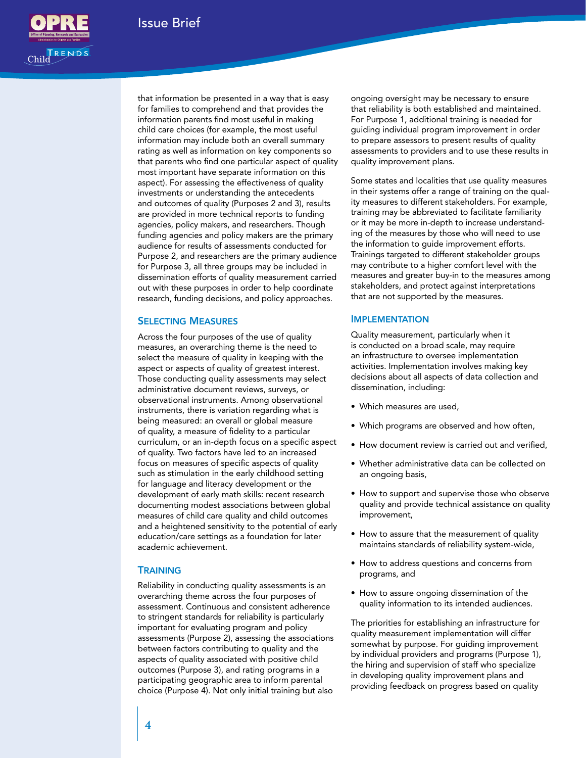

that information be presented in a way that is easy for families to comprehend and that provides the information parents find most useful in making child care choices (for example, the most useful information may include both an overall summary rating as well as information on key components so that parents who find one particular aspect of quality most important have separate information on this aspect). For assessing the effectiveness of quality investments or understanding the antecedents and outcomes of quality (Purposes 2 and 3), results are provided in more technical reports to funding agencies, policy makers, and researchers. Though funding agencies and policy makers are the primary audience for results of assessments conducted for Purpose 2, and researchers are the primary audience for Purpose 3, all three groups may be included in dissemination efforts of quality measurement carried out with these purposes in order to help coordinate research, funding decisions, and policy approaches.

#### Selecting Measures

Across the four purposes of the use of quality measures, an overarching theme is the need to select the measure of quality in keeping with the aspect or aspects of quality of greatest interest. Those conducting quality assessments may select administrative document reviews, surveys, or observational instruments. Among observational instruments, there is variation regarding what is being measured: an overall or global measure of quality, a measure of fidelity to a particular curriculum, or an in-depth focus on a specific aspect of quality. Two factors have led to an increased focus on measures of specific aspects of quality such as stimulation in the early childhood setting for language and literacy development or the development of early math skills: recent research documenting modest associations between global measures of child care quality and child outcomes and a heightened sensitivity to the potential of early education/care settings as a foundation for later academic achievement.

#### **TRAINING**

Reliability in conducting quality assessments is an overarching theme across the four purposes of assessment. Continuous and consistent adherence to stringent standards for reliability is particularly important for evaluating program and policy assessments (Purpose 2), assessing the associations between factors contributing to quality and the aspects of quality associated with positive child outcomes (Purpose 3), and rating programs in a participating geographic area to inform parental choice (Purpose 4). Not only initial training but also

ongoing oversight may be necessary to ensure that reliability is both established and maintained. For Purpose 1, additional training is needed for guiding individual program improvement in order to prepare assessors to present results of quality assessments to providers and to use these results in quality improvement plans.

Some states and localities that use quality measures in their systems offer a range of training on the quality measures to different stakeholders. For example, training may be abbreviated to facilitate familiarity or it may be more in-depth to increase understanding of the measures by those who will need to use the information to guide improvement efforts. Trainings targeted to different stakeholder groups may contribute to a higher comfort level with the measures and greater buy-in to the measures among stakeholders, and protect against interpretations that are not supported by the measures.

#### **IMPLEMENTATION**

Quality measurement, particularly when it is conducted on a broad scale, may require an infrastructure to oversee implementation activities. Implementation involves making key decisions about all aspects of data collection and dissemination, including:

- Which measures are used, •
- Which programs are observed and how often, •
- How document review is carried out and verified,
- Whether administrative data can be collected on an ongoing basis,
- How to support and supervise those who observe quality and provide technical assistance on quality improvement,
- How to assure that the measurement of quality maintains standards of reliability system-wide,
- How to address questions and concerns from programs, and
- How to assure ongoing dissemination of the quality information to its intended audiences.

The priorities for establishing an infrastructure for quality measurement implementation will differ somewhat by purpose. For guiding improvement by individual providers and programs (Purpose 1), the hiring and supervision of staff who specialize in developing quality improvement plans and providing feedback on progress based on quality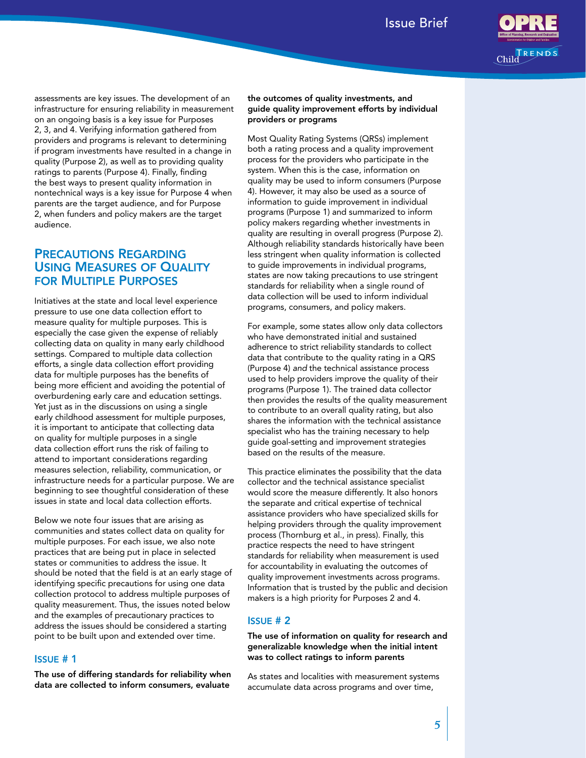

assessments are key issues. The development of an infrastructure for ensuring reliability in measurement on an ongoing basis is a key issue for Purposes 2, 3, and 4. Verifying information gathered from providers and programs is relevant to determining if program investments have resulted in a change in quality (Purpose 2), as well as to providing quality ratings to parents (Purpose 4). Finally, finding the best ways to present quality information in nontechnical ways is a key issue for Purpose 4 when parents are the target audience, and for Purpose 2, when funders and policy makers are the target audience.

## Precautions Regarding Using Measures of Quality for Multiple Purposes

Initiatives at the state and local level experience pressure to use one data collection effort to measure quality for multiple purposes. This is especially the case given the expense of reliably collecting data on quality in many early childhood settings. Compared to multiple data collection efforts, a single data collection effort providing data for multiple purposes has the benefits of being more efficient and avoiding the potential of overburdening early care and education settings. Yet just as in the discussions on using a single early childhood assessment for multiple purposes, it is important to anticipate that collecting data on quality for multiple purposes in a single data collection effort runs the risk of failing to attend to important considerations regarding measures selection, reliability, communication, or infrastructure needs for a particular purpose. We are beginning to see thoughtful consideration of these issues in state and local data collection efforts.

Below we note four issues that are arising as communities and states collect data on quality for multiple purposes. For each issue, we also note practices that are being put in place in selected states or communities to address the issue. It should be noted that the field is at an early stage of identifying specific precautions for using one data collection protocol to address multiple purposes of quality measurement. Thus, the issues noted below and the examples of precautionary practices to address the issues should be considered a starting point to be built upon and extended over time.

#### Issue # 1

The use of differing standards for reliability when data are collected to inform consumers, evaluate

#### the outcomes of quality investments, and guide quality improvement efforts by individual providers or programs

Most Quality Rating Systems (QRSs) implement both a rating process and a quality improvement process for the providers who participate in the system. When this is the case, information on quality may be used to inform consumers (Purpose 4). However, it may also be used as a source of information to guide improvement in individual programs (Purpose 1) and summarized to inform policy makers regarding whether investments in quality are resulting in overall progress (Purpose 2). Although reliability standards historically have been less stringent when quality information is collected to guide improvements in individual programs, states are now taking precautions to use stringent standards for reliability when a single round of data collection will be used to inform individual programs, consumers, and policy makers.

For example, some states allow only data collectors who have demonstrated initial and sustained adherence to strict reliability standards to collect data that contribute to the quality rating in a QRS (Purpose 4) *and* the technical assistance process used to help providers improve the quality of their programs (Purpose 1). The trained data collector then provides the results of the quality measurement to contribute to an overall quality rating, but also shares the information with the technical assistance specialist who has the training necessary to help guide goal-setting and improvement strategies based on the results of the measure.

This practice eliminates the possibility that the data collector and the technical assistance specialist would score the measure differently. It also honors the separate and critical expertise of technical assistance providers who have specialized skills for helping providers through the quality improvement process (Thornburg et al., in press). Finally, this practice respects the need to have stringent standards for reliability when measurement is used for accountability in evaluating the outcomes of quality improvement investments across programs. Information that is trusted by the public and decision makers is a high priority for Purposes 2 and 4.

#### Issue # 2

The use of information on quality for research and generalizable knowledge when the initial intent was to collect ratings to inform parents

As states and localities with measurement systems accumulate data across programs and over time,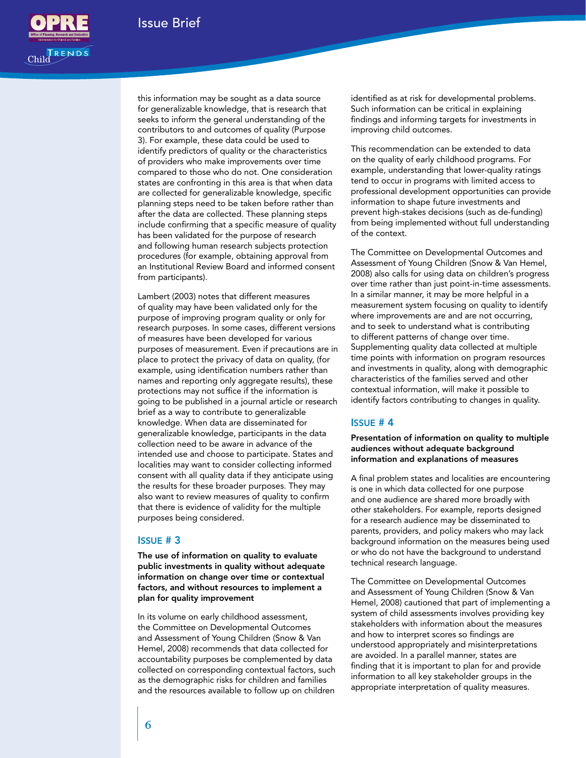

this information may be sought as a data source for generalizable knowledge, that is research that seeks to inform the general understanding of the contributors to and outcomes of quality (Purpose 3). For example, these data could be used to identify predictors of quality or the characteristics of providers who make improvements over time compared to those who do not. One consideration states are confronting in this area is that when data are collected for generalizable knowledge, specific planning steps need to be taken before rather than after the data are collected. These planning steps include confirming that a specific measure of quality has been validated for the purpose of research and following human research subjects protection procedures (for example, obtaining approval from an Institutional Review Board and informed consent from participants).

Lambert (2003) notes that different measures of quality may have been validated only for the purpose of improving program quality or only for research purposes. In some cases, different versions of measures have been developed for various purposes of measurement. Even if precautions are in place to protect the privacy of data on quality, (for example, using identification numbers rather than names and reporting only aggregate results), these protections may not suffice if the information is going to be published in a journal article or research brief as a way to contribute to generalizable knowledge. When data are disseminated for generalizable knowledge, participants in the data collection need to be aware in advance of the intended use and choose to participate. States and localities may want to consider collecting informed consent with all quality data if they anticipate using the results for these broader purposes. They may also want to review measures of quality to confirm that there is evidence of validity for the multiple purposes being considered.

#### Issue # 3

The use of information on quality to evaluate public investments in quality without adequate information on change over time or contextual factors, and without resources to implement a plan for quality improvement

In its volume on early childhood assessment, the Committee on Developmental Outcomes and Assessment of Young Children (Snow & Van Hemel, 2008) recommends that data collected for accountability purposes be complemented by data collected on corresponding contextual factors, such as the demographic risks for children and families and the resources available to follow up on children identified as at risk for developmental problems. Such information can be critical in explaining findings and informing targets for investments in improving child outcomes.

This recommendation can be extended to data on the quality of early childhood programs. For example, understanding that lower-quality ratings tend to occur in programs with limited access to professional development opportunities can provide information to shape future investments and prevent high-stakes decisions (such as de-funding) from being implemented without full understanding of the context.

The Committee on Developmental Outcomes and Assessment of Young Children (Snow & Van Hemel, 2008) also calls for using data on children's progress over time rather than just point-in-time assessments. In a similar manner, it may be more helpful in a measurement system focusing on quality to identify where improvements are and are not occurring, and to seek to understand what is contributing to different patterns of change over time. Supplementing quality data collected at multiple time points with information on program resources and investments in quality, along with demographic characteristics of the families served and other contextual information, will make it possible to identify factors contributing to changes in quality.

#### Issue # 4

#### Presentation of information on quality to multiple audiences without adequate background information and explanations of measures

A final problem states and localities are encountering is one in which data collected for one purpose and one audience are shared more broadly with other stakeholders. For example, reports designed for a research audience may be disseminated to parents, providers, and policy makers who may lack background information on the measures being used or who do not have the background to understand technical research language.

The Committee on Developmental Outcomes and Assessment of Young Children (Snow & Van Hemel, 2008) cautioned that part of implementing a system of child assessments involves providing key stakeholders with information about the measures and how to interpret scores so findings are understood appropriately and misinterpretations are avoided. In a parallel manner, states are finding that it is important to plan for and provide information to all key stakeholder groups in the appropriate interpretation of quality measures.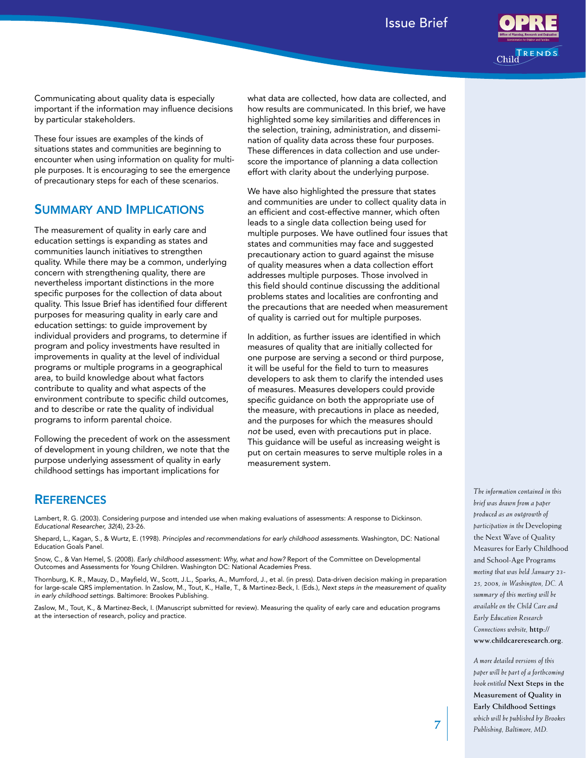

Communicating about quality data is especially important if the information may influence decisions by particular stakeholders.

These four issues are examples of the kinds of situations states and communities are beginning to encounter when using information on quality for multiple purposes. It is encouraging to see the emergence of precautionary steps for each of these scenarios.

### Summary and Implications

The measurement of quality in early care and education settings is expanding as states and communities launch initiatives to strengthen quality. While there may be a common, underlying concern with strengthening quality, there are nevertheless important distinctions in the more specific purposes for the collection of data about quality. This Issue Brief has identified four different purposes for measuring quality in early care and education settings: to guide improvement by individual providers and programs, to determine if program and policy investments have resulted in improvements in quality at the level of individual programs or multiple programs in a geographical area, to build knowledge about what factors contribute to quality and what aspects of the environment contribute to specific child outcomes, and to describe or rate the quality of individual programs to inform parental choice.

Following the precedent of work on the assessment of development in young children, we note that the purpose underlying assessment of quality in early childhood settings has important implications for

what data are collected, how data are collected, and how results are communicated. In this brief, we have highlighted some key similarities and differences in the selection, training, administration, and dissemination of quality data across these four purposes. These differences in data collection and use underscore the importance of planning a data collection effort with clarity about the underlying purpose.

We have also highlighted the pressure that states and communities are under to collect quality data in an efficient and cost-effective manner, which often leads to a single data collection being used for multiple purposes. We have outlined four issues that states and communities may face and suggested precautionary action to guard against the misuse of quality measures when a data collection effort addresses multiple purposes. Those involved in this field should continue discussing the additional problems states and localities are confronting and the precautions that are needed when measurement of quality is carried out for multiple purposes.

In addition, as further issues are identified in which measures of quality that are initially collected for one purpose are serving a second or third purpose, it will be useful for the field to turn to measures developers to ask them to clarify the intended uses of measures. Measures developers could provide specific guidance on both the appropriate use of the measure, with precautions in place as needed, and the purposes for which the measures should *not* be used, even with precautions put in place. This guidance will be useful as increasing weight is put on certain measures to serve multiple roles in a measurement system.

### **REFERENCES**

Lambert, R. G. (2003). Considering purpose and intended use when making evaluations of assessments: A response to Dickinson. *Educational Researcher, 32*(4), 23-26.

Shepard, L., Kagan, S., & Wurtz, E. (1998). *Principles and recommendations for early childhood assessments*. Washington, DC: National Education Goals Panel.

Snow, C., & Van Hemel, S. (2008). *Early childhood assessment: Why, what and how?* Report of the Committee on Developmental Outcomes and Assessments for Young Children. Washington DC: National Academies Press.

Thornburg, K. R., Mauzy, D., Mayfield, W., Scott, J.L., Sparks, A., Mumford, J., et al. (in press). Data-driven decision making in preparation for large-scale QRS implementation. In Zaslow, M., Tout, K., Halle, T., & Martinez-Beck, I. (Eds.), *Next steps in the measurement of quality in early childhood settings*. Baltimore: Brookes Publishing.

Zaslow, M., Tout, K., & Martinez-Beck, I. (Manuscript submitted for review). Measuring the quality of early care and education programs at the intersection of research, policy and practice.

*The information contained in this brief was drawn from a paper produced as an outgrowth of participation in the* Developing the Next Wave of Quality Measures for Early Childhood and School-Age Programs *meeting that was held January 23- 25, 2008, in Washington, DC. A summary of this meeting will be available on the Child Care and Early Education Research Connections website,* **http:// www.childcareresearch.org.**

*A more detailed versions of this paper will be part of a forthcoming book entitled* **Next Steps in the Measurement of Quality in Early Childhood Settings** *which will be published by Brookes Publishing, Baltimore, MD.*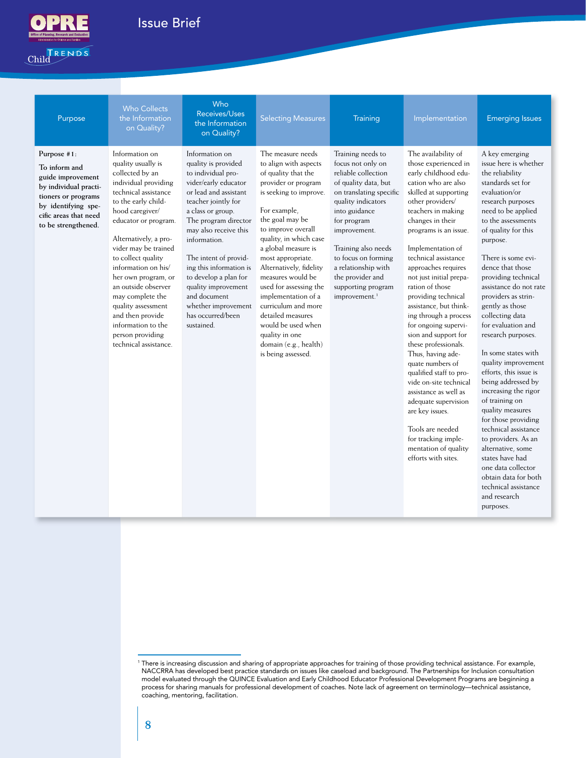

## Issue Brief Issue Brief Issue Brief Issue Brief Issue Brief Issue Brief Issue Brief Issue Brief Issue Brief Is

Child FRENDS

| Purpose                                                                                                                                                                  | <b>Who Collects</b><br>the Information<br>on Quality?                                                                                                                                                                                                                                                                                                                                                                                                  | Who<br>Receives/Uses<br>the Information<br>on Quality?                                                                                                                                                                                                                                                                                                                                                  | <b>Selecting Measures</b>                                                                                                                                                                                                                                                                                                                                                                                                                                                             | Training                                                                                                                                                                                                                                                                                                                           | Implementation                                                                                                                                                                                                                                                                                                                                                                                                                                                                                                                                                                                                                                                                                                                             | <b>Emerging Issues</b>                                                                                                                                                                                                                                                                                                                                                                                                                                                                                                                                                                                                                                                                                                                                                                |
|--------------------------------------------------------------------------------------------------------------------------------------------------------------------------|--------------------------------------------------------------------------------------------------------------------------------------------------------------------------------------------------------------------------------------------------------------------------------------------------------------------------------------------------------------------------------------------------------------------------------------------------------|---------------------------------------------------------------------------------------------------------------------------------------------------------------------------------------------------------------------------------------------------------------------------------------------------------------------------------------------------------------------------------------------------------|---------------------------------------------------------------------------------------------------------------------------------------------------------------------------------------------------------------------------------------------------------------------------------------------------------------------------------------------------------------------------------------------------------------------------------------------------------------------------------------|------------------------------------------------------------------------------------------------------------------------------------------------------------------------------------------------------------------------------------------------------------------------------------------------------------------------------------|--------------------------------------------------------------------------------------------------------------------------------------------------------------------------------------------------------------------------------------------------------------------------------------------------------------------------------------------------------------------------------------------------------------------------------------------------------------------------------------------------------------------------------------------------------------------------------------------------------------------------------------------------------------------------------------------------------------------------------------------|---------------------------------------------------------------------------------------------------------------------------------------------------------------------------------------------------------------------------------------------------------------------------------------------------------------------------------------------------------------------------------------------------------------------------------------------------------------------------------------------------------------------------------------------------------------------------------------------------------------------------------------------------------------------------------------------------------------------------------------------------------------------------------------|
| Purpose #1:<br>To inform and<br>guide improvement<br>by individual practi-<br>tioners or programs<br>by identifying spe-<br>cific areas that need<br>to be strengthened. | Information on<br>quality usually is<br>collected by an<br>individual providing<br>technical assistance<br>to the early child-<br>hood caregiver/<br>educator or program.<br>Alternatively, a pro-<br>vider may be trained<br>to collect quality<br>information on his/<br>her own program, or<br>an outside observer<br>may complete the<br>quality assessment<br>and then provide<br>information to the<br>person providing<br>technical assistance. | Information on<br>quality is provided<br>to individual pro-<br>vider/early educator<br>or lead and assistant<br>teacher jointly for<br>a class or group.<br>The program director<br>may also receive this<br>information.<br>The intent of provid-<br>ing this information is<br>to develop a plan for<br>quality improvement<br>and document<br>whether improvement<br>has occurred/been<br>sustained. | The measure needs<br>to align with aspects<br>of quality that the<br>provider or program<br>is seeking to improve.<br>For example,<br>the goal may be<br>to improve overall<br>quality, in which case<br>a global measure is<br>most appropriate.<br>Alternatively, fidelity<br>measures would be<br>used for assessing the<br>implementation of a<br>curriculum and more<br>detailed measures<br>would be used when<br>quality in one<br>domain (e.g., health)<br>is being assessed. | Training needs to<br>focus not only on<br>reliable collection<br>of quality data, but<br>on translating specific<br>quality indicators<br>into guidance<br>for program<br>improvement.<br>Training also needs<br>to focus on forming<br>a relationship with<br>the provider and<br>supporting program<br>improvement. <sup>1</sup> | The availability of<br>those experienced in<br>early childhood edu-<br>cation who are also<br>skilled at supporting<br>other providers/<br>teachers in making<br>changes in their<br>programs is an issue.<br>Implementation of<br>technical assistance<br>approaches requires<br>not just initial prepa-<br>ration of those<br>providing technical<br>assistance, but think-<br>ing through a process<br>for ongoing supervi-<br>sion and support for<br>these professionals.<br>Thus, having ade-<br>quate numbers of<br>qualified staff to pro-<br>vide on-site technical<br>assistance as well as<br>adequate supervision<br>are key issues.<br>Tools are needed<br>for tracking imple-<br>mentation of quality<br>efforts with sites. | A key emerging<br>issue here is whether<br>the reliability<br>standards set for<br>evaluation/or<br>research purposes<br>need to be applied<br>to the assessments<br>of quality for this<br>purpose.<br>There is some evi-<br>dence that those<br>providing technical<br>assistance do not rate<br>providers as strin-<br>gently as those<br>collecting data<br>for evaluation and<br>research purposes.<br>In some states with<br>quality improvement<br>efforts, this issue is<br>being addressed by<br>increasing the rigor<br>of training on<br>quality measures<br>for those providing<br>technical assistance<br>to providers. As an<br>alternative, some<br>states have had<br>one data collector<br>obtain data for both<br>technical assistance<br>and research<br>purposes. |

<sup>&</sup>lt;sup>1</sup> There is increasing discussion and sharing of appropriate approaches for training of those providing technical assistance. For example, NACCRRA has developed best practice standards on issues like caseload and background. The Partnerships for Inclusion consultation model evaluated through the QUINCE Evaluation and Early Childhood Educator Professional Development Programs are beginning a process for sharing manuals for professional development of coaches. Note lack of agreement on terminology—technical assistance, coaching, mentoring, facilitation.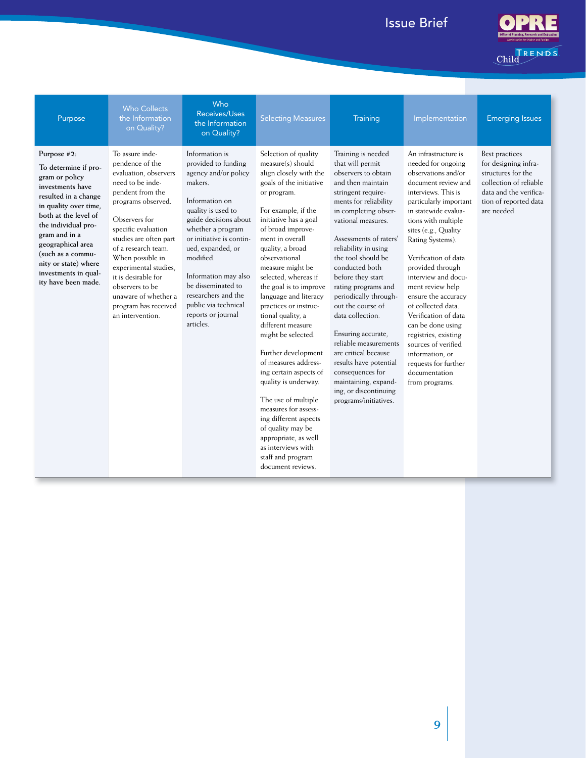

Child RENDS

| Purpose                                                                                                                                                                                                                                                                                                     | <b>Who Collects</b><br>the Information<br>on Quality?                                                                                                                                                                                                                                                                                                                         | Who<br>Receives/Uses<br>the Information<br>on Quality?                                                                                                                                                                                                                                                                                                       | <b>Selecting Measures</b>                                                                                                                                                                                                                                                                                                                                                                                                                                                                                                                                                                                                                                                                                                | <b>Training</b>                                                                                                                                                                                                                                                                                                                                                                                                                                                                                                                                                                        | Implementation                                                                                                                                                                                                                                                                                                                                                                                                                                                                                                                                     | <b>Emerging Issues</b>                                                                                                                                   |
|-------------------------------------------------------------------------------------------------------------------------------------------------------------------------------------------------------------------------------------------------------------------------------------------------------------|-------------------------------------------------------------------------------------------------------------------------------------------------------------------------------------------------------------------------------------------------------------------------------------------------------------------------------------------------------------------------------|--------------------------------------------------------------------------------------------------------------------------------------------------------------------------------------------------------------------------------------------------------------------------------------------------------------------------------------------------------------|--------------------------------------------------------------------------------------------------------------------------------------------------------------------------------------------------------------------------------------------------------------------------------------------------------------------------------------------------------------------------------------------------------------------------------------------------------------------------------------------------------------------------------------------------------------------------------------------------------------------------------------------------------------------------------------------------------------------------|----------------------------------------------------------------------------------------------------------------------------------------------------------------------------------------------------------------------------------------------------------------------------------------------------------------------------------------------------------------------------------------------------------------------------------------------------------------------------------------------------------------------------------------------------------------------------------------|----------------------------------------------------------------------------------------------------------------------------------------------------------------------------------------------------------------------------------------------------------------------------------------------------------------------------------------------------------------------------------------------------------------------------------------------------------------------------------------------------------------------------------------------------|----------------------------------------------------------------------------------------------------------------------------------------------------------|
| Purpose #2:<br>To determine if pro-<br>gram or policy<br>investments have<br>resulted in a change<br>in quality over time,<br>both at the level of<br>the individual pro-<br>gram and in a<br>geographical area<br>(such as a commu-<br>nity or state) where<br>investments in qual-<br>ity have been made. | To assure inde-<br>pendence of the<br>evaluation, observers<br>need to be inde-<br>pendent from the<br>programs observed.<br>Observers for<br>specific evaluation<br>studies are often part<br>of a research team.<br>When possible in<br>experimental studies.<br>it is desirable for<br>observers to be<br>unaware of whether a<br>program has received<br>an intervention. | Information is<br>provided to funding<br>agency and/or policy<br>makers.<br>Information on<br>quality is used to<br>guide decisions about<br>whether a program<br>or initiative is contin-<br>ued, expanded, or<br>modified.<br>Information may also<br>be disseminated to<br>researchers and the<br>public via technical<br>reports or journal<br>articles. | Selection of quality<br>measure(s) should<br>align closely with the<br>goals of the initiative<br>or program.<br>For example, if the<br>initiative has a goal<br>of broad improve-<br>ment in overall<br>quality, a broad<br>observational<br>measure might be<br>selected, whereas if<br>the goal is to improve<br>language and literacy<br>practices or instruc-<br>tional quality, a<br>different measure<br>might be selected.<br>Further development<br>of measures address-<br>ing certain aspects of<br>quality is underway.<br>The use of multiple<br>measures for assess-<br>ing different aspects<br>of quality may be<br>appropriate, as well<br>as interviews with<br>staff and program<br>document reviews. | Training is needed<br>that will permit<br>observers to obtain<br>and then maintain<br>stringent require-<br>ments for reliability<br>in completing obser-<br>vational measures.<br>Assessments of raters'<br>reliability in using<br>the tool should be<br>conducted both<br>before they start<br>rating programs and<br>periodically through-<br>out the course of<br>data collection.<br>Ensuring accurate,<br>reliable measurements<br>are critical because<br>results have potential<br>consequences for<br>maintaining, expand-<br>ing, or discontinuing<br>programs/initiatives. | An infrastructure is<br>needed for ongoing<br>observations and/or<br>document review and<br>interviews. This is<br>particularly important<br>in statewide evalua-<br>tions with multiple<br>sites (e.g., Quality<br>Rating Systems).<br>Verification of data<br>provided through<br>interview and docu-<br>ment review help<br>ensure the accuracy<br>of collected data.<br>Verification of data<br>can be done using<br>registries, existing<br>sources of verified<br>information, or<br>requests for further<br>documentation<br>from programs. | Best practices<br>for designing infra-<br>structures for the<br>collection of reliable<br>data and the verifica-<br>tion of reported data<br>are needed. |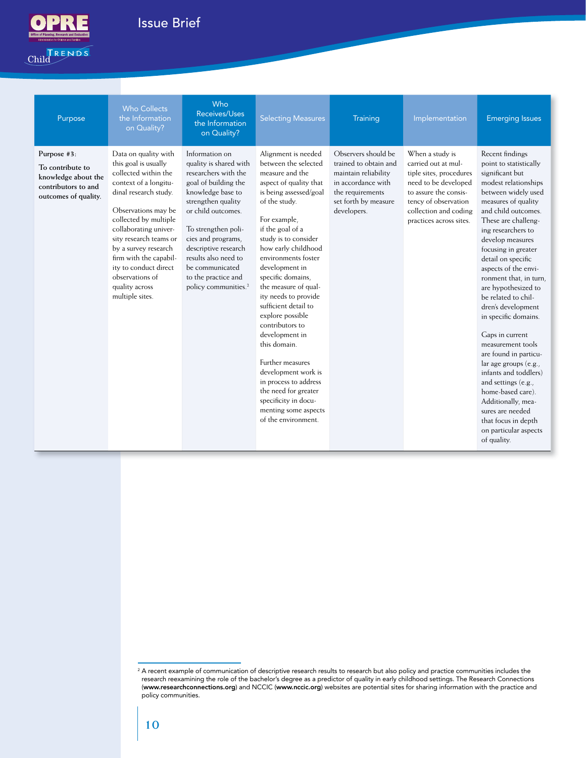

## Issue Brief Issue Brief Issue Brief Issue Brief Issue Brief Issue Brief Issue Brief Issue Brief Issue Brief Is



| Purpose                                                                                               | <b>Who Collects</b><br>the Information<br>on Quality?                                                                                                                                                                                                                                                                                                        | Who<br>Receives/Uses<br>the Information<br>on Quality?                                                                                                                                                                                                                                                                               | <b>Selecting Measures</b>                                                                                                                                                                                                                                                                                                                                                                                                                                                                                                                                                                                | Training                                                                                                                                              | Implementation                                                                                                                                                                                 | <b>Emerging Issues</b>                                                                                                                                                                                                                                                                                                                                                                                                                                                                                                                                                                                                                                                                        |
|-------------------------------------------------------------------------------------------------------|--------------------------------------------------------------------------------------------------------------------------------------------------------------------------------------------------------------------------------------------------------------------------------------------------------------------------------------------------------------|--------------------------------------------------------------------------------------------------------------------------------------------------------------------------------------------------------------------------------------------------------------------------------------------------------------------------------------|----------------------------------------------------------------------------------------------------------------------------------------------------------------------------------------------------------------------------------------------------------------------------------------------------------------------------------------------------------------------------------------------------------------------------------------------------------------------------------------------------------------------------------------------------------------------------------------------------------|-------------------------------------------------------------------------------------------------------------------------------------------------------|------------------------------------------------------------------------------------------------------------------------------------------------------------------------------------------------|-----------------------------------------------------------------------------------------------------------------------------------------------------------------------------------------------------------------------------------------------------------------------------------------------------------------------------------------------------------------------------------------------------------------------------------------------------------------------------------------------------------------------------------------------------------------------------------------------------------------------------------------------------------------------------------------------|
| Purpose #3:<br>To contribute to<br>knowledge about the<br>contributors to and<br>outcomes of quality. | Data on quality with<br>this goal is usually<br>collected within the<br>context of a longitu-<br>dinal research study.<br>Observations may be<br>collected by multiple<br>collaborating univer-<br>sity research teams or<br>by a survey research<br>firm with the capabil-<br>ity to conduct direct<br>observations of<br>quality across<br>multiple sites. | Information on<br>quality is shared with<br>researchers with the<br>goal of building the<br>knowledge base to<br>strengthen quality<br>or child outcomes.<br>To strengthen poli-<br>cies and programs,<br>descriptive research<br>results also need to<br>be communicated<br>to the practice and<br>policy communities. <sup>2</sup> | Alignment is needed<br>between the selected<br>measure and the<br>aspect of quality that<br>is being assessed/goal<br>of the study.<br>For example,<br>if the goal of a<br>study is to consider<br>how early childhood<br>environments foster<br>development in<br>specific domains,<br>the measure of qual-<br>ity needs to provide<br>sufficient detail to<br>explore possible<br>contributors to<br>development in<br>this domain.<br>Further measures<br>development work is<br>in process to address<br>the need for greater<br>specificity in docu-<br>menting some aspects<br>of the environment. | Observers should be<br>trained to obtain and<br>maintain reliability<br>in accordance with<br>the requirements<br>set forth by measure<br>developers. | When a study is<br>carried out at mul-<br>tiple sites, procedures<br>need to be developed<br>to assure the consis-<br>tency of observation<br>collection and coding<br>practices across sites. | Recent findings<br>point to statistically<br>significant but<br>modest relationships<br>between widely used<br>measures of quality<br>and child outcomes.<br>These are challeng-<br>ing researchers to<br>develop measures<br>focusing in greater<br>detail on specific<br>aspects of the envi-<br>ronment that, in turn,<br>are hypothesized to<br>be related to chil-<br>dren's development<br>in specific domains.<br>Gaps in current<br>measurement tools<br>are found in particu-<br>lar age groups (e.g.,<br>infants and toddlers)<br>and settings (e.g.,<br>home-based care).<br>Additionally, mea-<br>sures are needed<br>that focus in depth<br>on particular aspects<br>of quality. |

<sup>&</sup>lt;sup>2</sup> A recent example of communication of descriptive research results to research but also policy and practice communities includes the research reexamining the role of the bachelor's degree as a predictor of quality in early childhood settings. The Research Connections (www.researchconnections.org) and NCCIC (www.nccic.org) websites are potential sites for sharing information with the practice and policy communities.